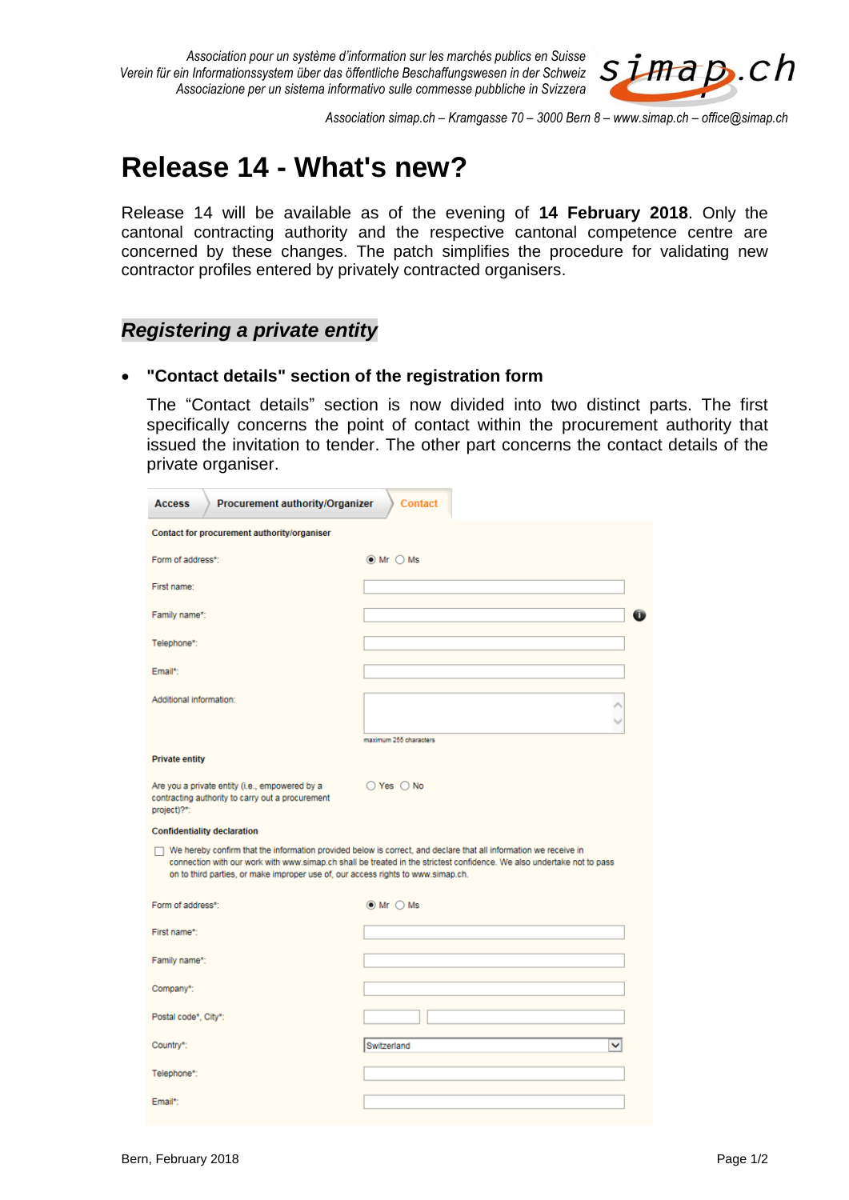

*Association simap.ch – Kramgasse 70 – 3000 Bern 8 – www.simap.ch – office@simap.ch*

# **Release 14 - What's new?**

Release 14 will be available as of the evening of **14 February 2018**. Only the cantonal contracting authority and the respective cantonal competence centre are concerned by these changes. The patch simplifies the procedure for validating new contractor profiles entered by privately contracted organisers.

### *Registering a private entity*

#### **"Contact details" section of the registration form**

The "Contact details" section is now divided into two distinct parts. The first specifically concerns the point of contact within the procurement authority that issued the invitation to tender. The other part concerns the contact details of the private organiser.

| Procurement authority/Organizer<br><b>Contact</b><br><b>Access</b>                                                                                                                                                                                                                                                             |                             |
|--------------------------------------------------------------------------------------------------------------------------------------------------------------------------------------------------------------------------------------------------------------------------------------------------------------------------------|-----------------------------|
| Contact for procurement authority/organiser                                                                                                                                                                                                                                                                                    |                             |
| Form of address*:                                                                                                                                                                                                                                                                                                              | $\odot$ Mr $\odot$ Ms       |
| First name:                                                                                                                                                                                                                                                                                                                    |                             |
| Family name*:                                                                                                                                                                                                                                                                                                                  |                             |
| Telephone*:                                                                                                                                                                                                                                                                                                                    |                             |
| Email*:                                                                                                                                                                                                                                                                                                                        |                             |
| Additional information:                                                                                                                                                                                                                                                                                                        |                             |
|                                                                                                                                                                                                                                                                                                                                | maximum 255 characters      |
| <b>Private entity</b>                                                                                                                                                                                                                                                                                                          |                             |
| Are you a private entity (i.e., empowered by a<br>contracting authority to carry out a procurement<br>project)?*:                                                                                                                                                                                                              | $O$ Yes $O$ No              |
| <b>Confidentiality declaration</b>                                                                                                                                                                                                                                                                                             |                             |
| We hereby confirm that the information provided below is correct, and declare that all information we receive in<br>connection with our work with www.simap.ch shall be treated in the strictest confidence. We also undertake not to pass<br>on to third parties, or make improper use of, our access rights to www.simap.ch. |                             |
| Form of address*:                                                                                                                                                                                                                                                                                                              | $\odot$ Mr $\bigcirc$ Ms    |
| First name*:                                                                                                                                                                                                                                                                                                                   |                             |
| Family name*:                                                                                                                                                                                                                                                                                                                  |                             |
| Company*:                                                                                                                                                                                                                                                                                                                      |                             |
| Postal code*, City*:                                                                                                                                                                                                                                                                                                           |                             |
| Country*:                                                                                                                                                                                                                                                                                                                      | Switzerland<br>$\checkmark$ |
| Telephone*:                                                                                                                                                                                                                                                                                                                    |                             |
| Email*:                                                                                                                                                                                                                                                                                                                        |                             |